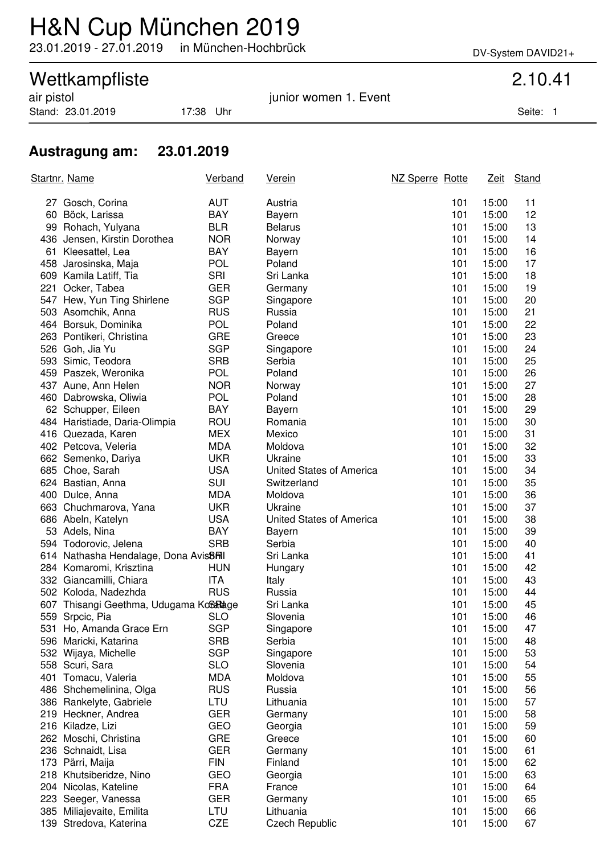## H&N Cup München 2019

23.01.2019 - 27.01.2019 in München-Hochbrück DV-System DAVID21+

# Wettkampfliste 2.10.41<br>
air pistol 2.10.41

Stand: 23.01.2019 17:38 Uhr Seite: 1

junior women 1. Event

### **Austragung am: 23.01.2019**

| Startnr. Name                                      | Verband                  | <u>Verein</u>            | NZ Sperre Rotte |                       | Zeit Stand |
|----------------------------------------------------|--------------------------|--------------------------|-----------------|-----------------------|------------|
| 27 Gosch, Corina                                   | <b>AUT</b>               | Austria                  |                 | 101<br>15:00          | 11         |
| 60 Böck, Larissa                                   | BAY                      | Bayern                   |                 | 101<br>15:00          | 12         |
| 99 Rohach, Yulyana                                 | <b>BLR</b>               | <b>Belarus</b>           |                 | 101<br>15:00          | 13         |
| 436 Jensen, Kirstin Dorothea                       | <b>NOR</b>               | Norway                   |                 | 101<br>15:00          | 14         |
| 61 Kleesattel, Lea                                 | <b>BAY</b>               | Bayern                   |                 | 101<br>15:00          | 16         |
| 458 Jarosinska, Maja                               | <b>POL</b>               | Poland                   |                 | 101<br>15:00          | 17         |
| 609 Kamila Latiff, Tia                             | SRI                      | Sri Lanka                |                 | 101<br>15:00          | 18         |
| 221 Ocker, Tabea                                   | <b>GER</b>               | Germany                  |                 | 101<br>15:00          | 19         |
| 547 Hew, Yun Ting Shirlene                         | <b>SGP</b>               | Singapore                |                 | 101<br>15:00          | 20         |
| 503 Asomchik, Anna                                 | <b>RUS</b>               | Russia                   |                 | 101<br>15:00          | 21         |
| 464 Borsuk, Dominika                               | <b>POL</b>               | Poland                   |                 | 101<br>15:00          | 22         |
| 263 Pontikeri, Christina                           | <b>GRE</b>               | Greece                   |                 | 101<br>15:00          | 23         |
| 526 Goh, Jia Yu                                    | <b>SGP</b>               | Singapore                |                 | 101<br>15:00          | 24         |
| 593 Simic, Teodora                                 | <b>SRB</b>               | Serbia                   |                 | 101<br>15:00          | 25         |
| 459 Paszek, Weronika                               | <b>POL</b>               | Poland                   |                 | 101<br>15:00          | 26         |
| 437 Aune, Ann Helen                                | <b>NOR</b>               | Norway                   |                 | 101<br>15:00          | 27         |
| 460 Dabrowska, Oliwia                              | <b>POL</b>               | Poland                   |                 | 101<br>15:00          | 28         |
| 62 Schupper, Eileen                                | BAY                      | Bayern                   |                 | 101<br>15:00          | 29         |
| 484 Haristiade, Daria-Olimpia                      | ROU                      | Romania                  |                 | 101<br>15:00          | 30         |
| 416 Quezada, Karen                                 | <b>MEX</b>               | Mexico                   |                 | 101<br>15:00          | 31         |
| 402 Petcova, Veleria                               | <b>MDA</b>               | Moldova                  |                 | 101<br>15:00          | 32         |
| 662 Semenko, Dariya                                | <b>UKR</b>               | Ukraine                  |                 | 101<br>15:00          | 33         |
| 685 Choe, Sarah                                    | <b>USA</b>               | United States of America |                 | 101<br>15:00          | 34         |
| 624 Bastian, Anna                                  | SUI                      | Switzerland              |                 | 101<br>15:00          | 35         |
| 400 Dulce, Anna                                    | <b>MDA</b>               | Moldova                  |                 | 101<br>15:00          | 36         |
| 663 Chuchmarova, Yana                              | <b>UKR</b>               | Ukraine                  |                 | 101<br>15:00          | 37         |
| 686 Abeln, Katelyn                                 | <b>USA</b>               | United States of America |                 | 101<br>15:00          | 38         |
| 53 Adels, Nina                                     | <b>BAY</b>               | Bayern                   |                 | 101<br>15:00          | 39         |
| 594 Todorovic, Jelena                              | <b>SRB</b>               | Serbia                   |                 | 101<br>15:00          | 40         |
| 614 Nathasha Hendalage, Dona Avis <sup>8</sup> Ril |                          | Sri Lanka                |                 | 101<br>15:00          | 41         |
| 284 Komaromi, Krisztina                            | HUN                      | Hungary                  |                 | 101<br>15:00          | 42         |
| 332 Giancamilli, Chiara                            | <b>ITA</b>               | Italy                    |                 | 101<br>15:00          | 43         |
| 502 Koloda, Nadezhda                               | <b>RUS</b>               | Russia                   |                 | 101<br>15:00          | 44         |
| 607 Thisangi Geethma, Udugama KoSaRage             |                          | Sri Lanka                |                 | 101<br>15:00          | 45         |
| 559 Srpcic, Pia                                    | <b>SLO</b>               | Slovenia                 |                 | 101<br>15:00          | 46         |
| 531 Ho, Amanda Grace Ern                           | <b>SGP</b>               | Singapore                |                 | 101<br>15:00          | 47         |
| 596 Maricki, Katarina                              | <b>SRB</b>               | Serbia                   |                 | 101<br>15:00          | 48         |
| 532 Wijaya, Michelle                               | <b>SGP</b>               | Singapore                |                 | 101<br>15:00          | 53         |
| 558 Scuri, Sara<br>401 Tomacu, Valeria             | <b>SLO</b><br><b>MDA</b> | Slovenia<br>Moldova      |                 | 101<br>15:00<br>101   | 54<br>55   |
| 486 Shchemelinina, Olga                            | <b>RUS</b>               | Russia                   |                 | 15:00<br>101<br>15:00 | 56         |
| 386 Rankelyte, Gabriele                            | LTU                      | Lithuania                |                 | 101<br>15:00          | 57         |
| 219 Heckner, Andrea                                | <b>GER</b>               | Germany                  |                 | 101<br>15:00          | 58         |
| 216 Kiladze, Lizi                                  | <b>GEO</b>               | Georgia                  |                 | 101<br>15:00          | 59         |
| 262 Moschi, Christina                              | <b>GRE</b>               | Greece                   |                 | 101<br>15:00          | 60         |
| 236 Schnaidt, Lisa                                 | <b>GER</b>               | Germany                  |                 | 101<br>15:00          | 61         |
| 173 Pärri, Maija                                   | <b>FIN</b>               | Finland                  |                 | 101<br>15:00          | 62         |
| 218 Khutsiberidze, Nino                            | <b>GEO</b>               | Georgia                  |                 | 101<br>15:00          | 63         |
| 204 Nicolas, Kateline                              | <b>FRA</b>               | France                   |                 | 101<br>15:00          | 64         |
| 223 Seeger, Vanessa                                | <b>GER</b>               | Germany                  |                 | 101<br>15:00          | 65         |
| 385 Miliajevaite, Emilita                          | LTU                      | Lithuania                |                 | 101<br>15:00          | 66         |
| 139 Stredova, Katerina                             | CZE                      | <b>Czech Republic</b>    |                 | 101<br>15:00          | 67         |